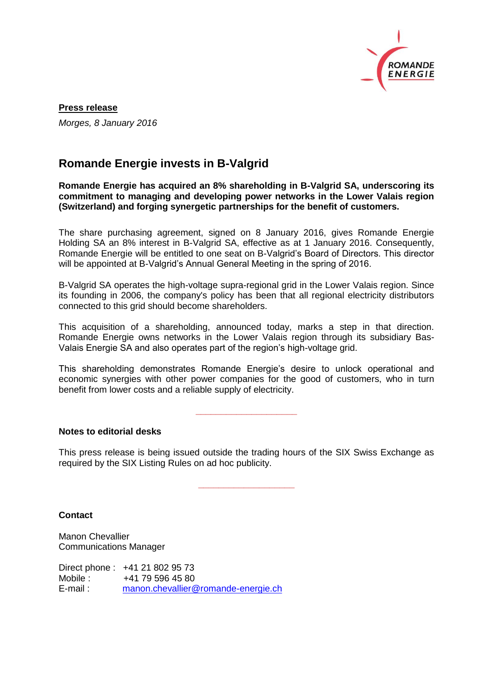

**Press release** *Morges, 8 January 2016*

## **Romande Energie invests in B-Valgrid**

**Romande Energie has acquired an 8% shareholding in B-Valgrid SA, underscoring its commitment to managing and developing power networks in the Lower Valais region (Switzerland) and forging synergetic partnerships for the benefit of customers.**

The share purchasing agreement, signed on 8 January 2016, gives Romande Energie Holding SA an 8% interest in B-Valgrid SA, effective as at 1 January 2016. Consequently, Romande Energie will be entitled to one seat on B-Valgrid's Board of Directors. This director will be appointed at B-Valgrid's Annual General Meeting in the spring of 2016.

B-Valgrid SA operates the high-voltage supra-regional grid in the Lower Valais region. Since its founding in 2006, the company's policy has been that all regional electricity distributors connected to this grid should become shareholders.

This acquisition of a shareholding, announced today, marks a step in that direction. Romande Energie owns networks in the Lower Valais region through its subsidiary Bas-Valais Energie SA and also operates part of the region's high-voltage grid.

This shareholding demonstrates Romande Energie's desire to unlock operational and economic synergies with other power companies for the good of customers, who in turn benefit from lower costs and a reliable supply of electricity.

**\_\_\_\_\_\_\_\_\_\_\_\_\_\_\_\_\_\_\_\_**

**Notes to editorial desks**

This press release is being issued outside the trading hours of the SIX Swiss Exchange as required by the SIX Listing Rules on ad hoc publicity.

**\_\_\_\_\_\_\_\_\_\_\_\_\_\_\_\_\_\_\_**

**Contact**

Manon Chevallier Communications Manager

Direct phone : +41 21 802 95 73 Mobile : +41 79 596 45 80 E-mail : [manon.chevallier@romande-energie.ch](mailto:manon.chevallier@romande-energie.ch)